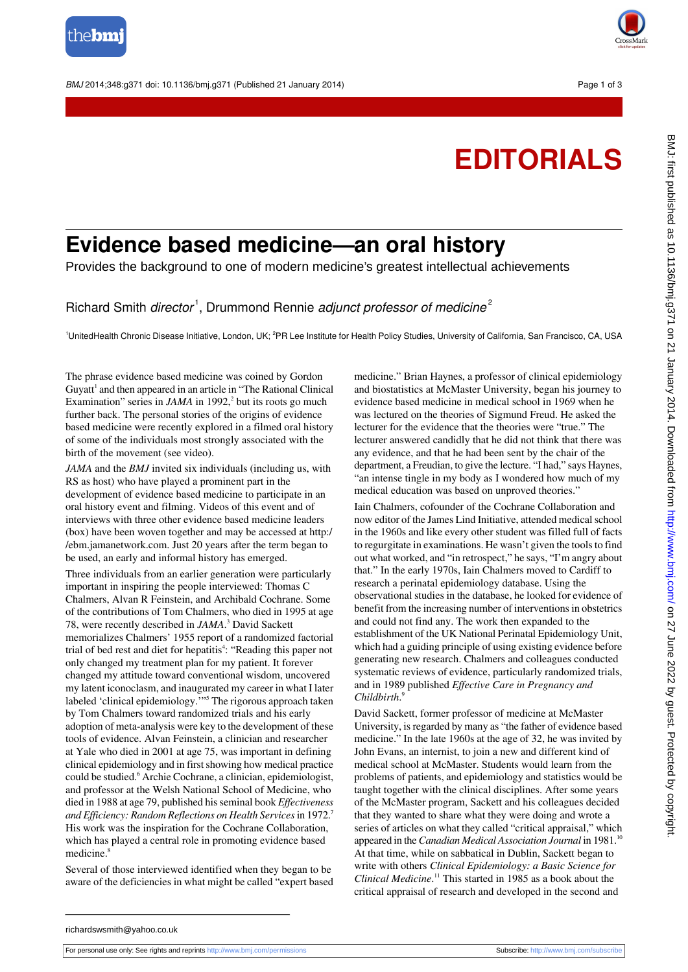

BMJ 2014:348:g371 doi: 10.1136/bmi.g371 (Published 21 January 2014) Page 1 of 3



# **EDITORIALS**

## **Evidence based medicine—an oral history**

Provides the background to one of modern medicine's greatest intellectual achievements

Richard Smith *director*<sup>1</sup>, Drummond Rennie adjunct professor of medicine<sup>2</sup>

<sup>1</sup>UnitedHealth Chronic Disease Initiative, London, UK; <sup>2</sup>PR Lee Institute for Health Policy Studies, University of California, San Francisco, CA, USA

The phrase evidence based medicine was coined by Gordon Guyatt<sup>1</sup> and then appeared in an article in "The Rational Clinical Examination" series in *JAMA* in 1992,<sup>2</sup> but its roots go much further back. The personal stories of the origins of evidence based medicine were recently explored in a filmed oral history of some of the individuals most strongly associated with the birth of the movement (see video).

*JAMA* and the *BMJ* invited six individuals (including us, with RS as host) who have played a prominent part in the development of evidence based medicine to participate in an oral history event and filming. Videos of this event and of interviews with three other evidence based medicine leaders (box) have been woven together and may be accessedat [http:/](http://ebm.jamanetwork.com/) [/ebm.jamanetwork.com](http://ebm.jamanetwork.com/). Just 20 years after the term began to be used, an early and informal history has emerged.

Three individuals from an earlier generation were particularly important in inspiring the people interviewed: Thomas C Chalmers, Alvan R Feinstein, and Archibald Cochrane. Some of the contributions of Tom Chalmers, who died in 1995 at age 78, were recently described in *JAMA*. <sup>3</sup> David Sackett memorializes Chalmers' 1955 report of a randomized factorial trial of bed rest and diet for hepatitis<sup>4</sup>: "Reading this paper not only changed my treatment plan for my patient. It forever changed my attitude toward conventional wisdom, uncovered my latent iconoclasm, and inaugurated my career in what I later labeled 'clinical epidemiology.'"<sup>5</sup> The rigorous approach taken by Tom Chalmers toward randomized trials and his early adoption of meta-analysis were key to the development of these tools of evidence. Alvan Feinstein, a clinician and researcher at Yale who died in 2001 at age 75, was important in defining clinical epidemiology and in first showing how medical practice could be studied.<sup>6</sup> Archie Cochrane, a clinician, epidemiologist, and professor at the Welsh National School of Medicine, who died in 1988 at age 79, published his seminal book *Effectiveness and Efficiency: Random Reflections on Health Services*in 1972.<sup>7</sup> His work was the inspiration for the Cochrane Collaboration, which has played a central role in promoting evidence based medicine.<sup>8</sup>

Several of those interviewed identified when they began to be aware of the deficiencies in what might be called "expert based medicine." Brian Haynes, a professor of clinical epidemiology and biostatistics at McMaster University, began his journey to evidence based medicine in medical school in 1969 when he was lectured on the theories of Sigmund Freud. He asked the lecturer for the evidence that the theories were "true." The lecturer answered candidly that he did not think that there was any evidence, and that he had been sent by the chair of the department, a Freudian, to give the lecture. "I had," says Haynes, "an intense tingle in my body as I wondered how much of my medical education was based on unproved theories."

Iain Chalmers, cofounder of the Cochrane Collaboration and now editor of the James Lind Initiative, attended medical school in the 1960s and like every other student was filled full of facts to regurgitate in examinations. He wasn't given the tools to find out what worked, and "in retrospect," he says, "I'm angry about that." In the early 1970s, Iain Chalmers moved to Cardiff to research a perinatal epidemiology database. Using the observational studies in the database, he looked for evidence of benefit from the increasing number of interventions in obstetrics and could not find any. The work then expanded to the establishment of the UK National Perinatal Epidemiology Unit, which had a guiding principle of using existing evidence before generating new research. Chalmers and colleagues conducted systematic reviews of evidence, particularly randomized trials, and in 1989 published *Effective Care in Pregnancy and Childbirth*. 9

David Sackett, former professor of medicine at McMaster University, is regarded by many as "the father of evidence based medicine." In the late 1960s at the age of 32, he was invited by John Evans, an internist, to join a new and different kind of medical school at McMaster. Students would learn from the problems of patients, and epidemiology and statistics would be taught together with the clinical disciplines. After some years of the McMaster program, Sackett and his colleagues decided that they wanted to share what they were doing and wrote a series of articles on what they called "critical appraisal," which appeared in the *Canadian Medical Association Journal* in 1981.<sup>10</sup> At that time, while on sabbatical in Dublin, Sackett began to write with others *Clinical Epidemiology: a Basic Science for Clinical Medicine*. <sup>11</sup> This started in 1985 as a book about the critical appraisal of research and developed in the second and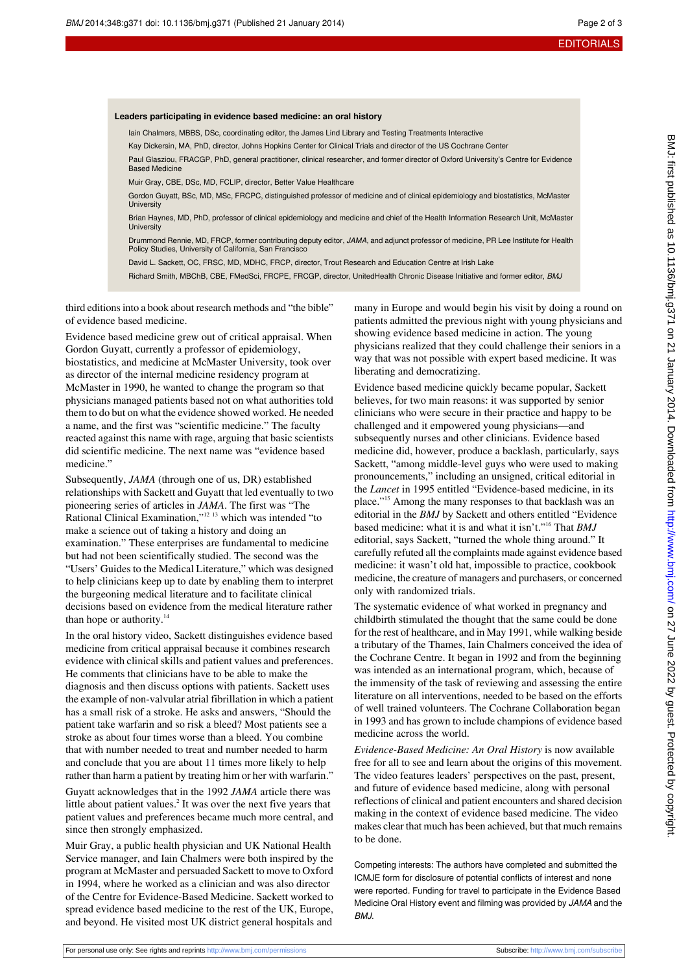#### **Leaders participating in evidence based medicine: an oral history**

Iain Chalmers, MBBS, DSc, coordinating editor, the James Lind Library and Testing Treatments Interactive

Kay Dickersin, MA, PhD, director, Johns Hopkins Center for Clinical Trials and director of the US Cochrane Center

Paul Glasziou, FRACGP, PhD, general practitioner, clinical researcher, and former director of Oxford University's Centre for Evidence Based Medicine

Muir Gray, CBE, DSc, MD, FCLIP, director, Better Value Healthcare

Gordon Guyatt, BSc, MD, MSc, FRCPC, distinguished professor of medicine and of clinical epidemiology and biostatistics, McMaster **University** 

Brian Haynes, MD, PhD, professor of clinical epidemiology and medicine and chief of the Health Information Research Unit, McMaster **University** 

Drummond Rennie, MD, FRCP, former contributing deputy editor, JAMA, and adjunct professor of medicine, PR Lee Institute for Health Policy Studies, University of California, San Francisco

David L. Sackett, OC, FRSC, MD, MDHC, FRCP, director, Trout Research and Education Centre at Irish Lake

Richard Smith, MBChB, CBE, FMedSci, FRCPE, FRCGP, director, UnitedHealth Chronic Disease Initiative and former editor, BMJ

third editions into a book about research methods and "the bible" of evidence based medicine.

Evidence based medicine grew out of critical appraisal. When Gordon Guyatt, currently a professor of epidemiology, biostatistics, and medicine at McMaster University, took over as director of the internal medicine residency program at McMaster in 1990, he wanted to change the program so that physicians managed patients based not on what authorities told them to do but on what the evidence showed worked. He needed a name, and the first was "scientific medicine." The faculty reacted against this name with rage, arguing that basic scientists did scientific medicine. The next name was "evidence based medicine."

Subsequently, *JAMA* (through one of us, DR) established relationships with Sackett and Guyatt that led eventually to two pioneering series of articles in *JAMA*. The first was "The Rational Clinical Examination,"<sup>12 13</sup> which was intended "to make a science out of taking a history and doing an examination." These enterprises are fundamental to medicine but had not been scientifically studied. The second was the "Users' Guides to the Medical Literature," which was designed to help clinicians keep up to date by enabling them to interpret the burgeoning medical literature and to facilitate clinical decisions based on evidence from the medical literature rather than hope or authority.<sup>14</sup>

In the oral history video, Sackett distinguishes evidence based medicine from critical appraisal because it combines research evidence with clinical skills and patient values and preferences. He comments that clinicians have to be able to make the diagnosis and then discuss options with patients. Sackett uses the example of non-valvular atrial fibrillation in which a patient has a small risk of a stroke. He asks and answers, "Should the patient take warfarin and so risk a bleed? Most patients see a stroke as about four times worse than a bleed. You combine that with number needed to treat and number needed to harm and conclude that you are about 11 times more likely to help rather than harm a patient by treating him or her with warfarin."

Guyatt acknowledges that in the 1992 *JAMA* article there was little about patient values. $2$  It was over the next five years that patient values and preferences became much more central, and since then strongly emphasized.

Muir Gray, a public health physician and UK National Health Service manager, and Iain Chalmers were both inspired by the program at McMaster and persuaded Sackett to move to Oxford in 1994, where he worked as a clinician and was also director of the Centre for Evidence-Based Medicine. Sackett worked to spread evidence based medicine to the rest of the UK, Europe, and beyond. He visited most UK district general hospitals and

many in Europe and would begin his visit by doing a round on patients admitted the previous night with young physicians and showing evidence based medicine in action. The young physicians realized that they could challenge their seniors in a way that was not possible with expert based medicine. It was liberating and democratizing.

Evidence based medicine quickly became popular, Sackett believes, for two main reasons: it was supported by senior clinicians who were secure in their practice and happy to be challenged and it empowered young physicians—and subsequently nurses and other clinicians. Evidence based medicine did, however, produce a backlash, particularly, says Sackett, "among middle-level guys who were used to making pronouncements," including an unsigned, critical editorial in the *Lancet* in 1995 entitled "Evidence-based medicine, in its place."<sup>15</sup> Among the many responses to that backlash was an editorial in the *BMJ* by Sackett and others entitled "Evidence based medicine: what it is and what it isn't."<sup>16</sup> That *BMJ* editorial, says Sackett, "turned the whole thing around." It carefully refuted all the complaints made against evidence based medicine: it wasn't old hat, impossible to practice, cookbook medicine, the creature of managers and purchasers, or concerned only with randomized trials.

The systematic evidence of what worked in pregnancy and childbirth stimulated the thought that the same could be done for the rest of healthcare, and in May 1991, while walking beside a tributary of the Thames, Iain Chalmers conceived the idea of the Cochrane Centre. It began in 1992 and from the beginning was intended as an international program, which, because of the immensity of the task of reviewing and assessing the entire literature on all interventions, needed to be based on the efforts of well trained volunteers. The Cochrane Collaboration began in 1993 and has grown to include champions of evidence based medicine across the world.

*Evidence-Based Medicine: An Oral History* is now available free for all to see and learn about the origins of this movement. The video features leaders' perspectives on the past, present, and future of evidence based medicine, along with personal reflections of clinical and patient encounters and shared decision making in the context of evidence based medicine. The video makes clear that much has been achieved, but that much remains to be done.

Competing interests: The authors have completed and submitted the ICMJE form for disclosure of potential conflicts of interest and none were reported. Funding for travel to participate in the Evidence Based Medicine Oral History event and filming was provided by JAMA and the BMJ.